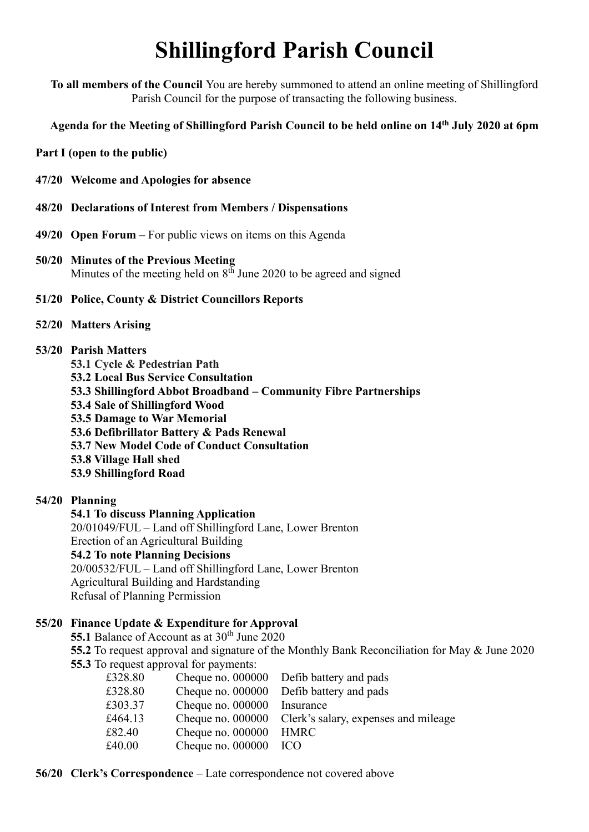# **Shillingford Parish Council**

**To all members of the Council** You are hereby summoned to attend an online meeting of Shillingford Parish Council for the purpose of transacting the following business.

**Agenda for the Meeting of Shillingford Parish Council to be held online on 14th July 2020 at 6pm**

**Part I (open to the public)**

- **47/20 Welcome and Apologies for absence**
- **48/20 Declarations of Interest from Members / Dispensations**
- **49/20 Open Forum –** For public views on items on this Agenda
- **50/20 Minutes of the Previous Meeting** Minutes of the meeting held on  $8<sup>th</sup>$  June 2020 to be agreed and signed
- **51/20 Police, County & District Councillors Reports**
- **52/20 Matters Arising**
- **53/20 Parish Matters**

**53.1 Cycle & Pedestrian Path**

**53.2 Local Bus Service Consultation**

**53.3 Shillingford Abbot Broadband – Community Fibre Partnerships**

**53.4 Sale of Shillingford Wood**

**53.5 Damage to War Memorial**

- **53.6 Defibrillator Battery & Pads Renewal**
- **53.7 New Model Code of Conduct Consultation**
- **53.8 Village Hall shed**
- **53.9 Shillingford Road**

## **54/20 Planning**

### **54.1 To discuss Planning Application**

20/01049/FUL – Land off Shillingford Lane, Lower Brenton Erection of an Agricultural Building **54.2 To note Planning Decisions** 20/00532/FUL – Land off Shillingford Lane, Lower Brenton Agricultural Building and Hardstanding Refusal of Planning Permission

## **55/20 Finance Update & Expenditure for Approval**

55.1 Balance of Account as at 30<sup>th</sup> June 2020

**55.2** To request approval and signature of the Monthly Bank Reconciliation for May & June 2020 **55.3** To request approval for payments:

| £328.80 |                     | Cheque no. 000000 Defib battery and pads |
|---------|---------------------|------------------------------------------|
| £328.80 | Cheque no. 000000   | Defib battery and pads                   |
| £303.37 | Cheque no. 000000   | Insurance                                |
| £464.13 | Cheque no. $000000$ | Clerk's salary, expenses and mileage     |
| £82.40  | Cheque no. 000000   | <b>HMRC</b>                              |
| £40.00  | Cheque no. $000000$ | - ICO                                    |
|         |                     |                                          |

#### **56/20 Clerk's Correspondence** – Late correspondence not covered above